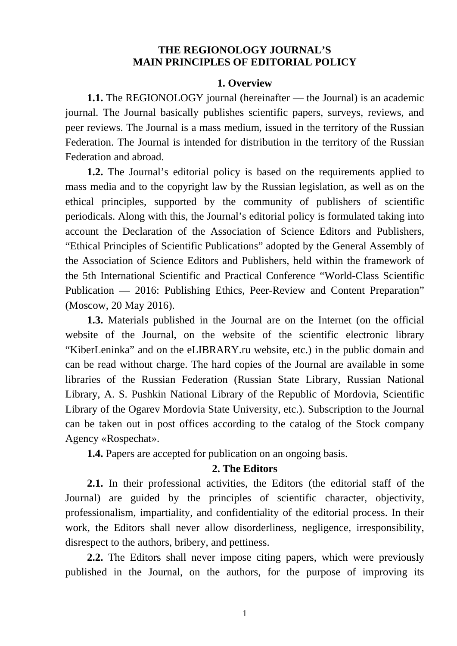# **THE REGIONOLOGY JOURNAL'S MAIN PRINCIPLES OF EDITORIAL POLICY**

#### **1. Overview**

**1.1.** The REGIONOLOGY journal (hereinafter — the Journal) is an academic journal. The Journal basically publishes scientific papers, surveys, reviews, and peer reviews. The Journal is a mass medium, issued in the territory of the Russian Federation. The Journal is intended for distribution in the territory of the Russian Federation and abroad.

**1.2.** The Journal's editorial policy is based on the requirements applied to mass media and to the copyright law by the Russian legislation, as well as on the ethical principles, supported by the community of publishers of scientific periodicals. Along with this, the Journal's editorial policy is formulated taking into account the Declaration of the Association of Science Editors and Publishers, "Ethical Principles of Scientific Publications" adopted by the General Assembly of the Association of Science Editors and Publishers, held within the framework of the 5th International Scientific and Practical Conference "World-Class Scientific Publication — 2016: Publishing Ethics, Peer-Review and Content Preparation" (Moscow, 20 May 2016).

**1.3.** Materials published in the Journal are on the Internet (on the official website of the Journal, on the website of the scientific electronic library "KiberLeninka" and on the eLIBRARY.ru website, etc.) in the public domain and can be read without charge. The hard copies of the Journal are available in some libraries of the Russian Federation (Russian State Library, Russian National Library, A. S. Pushkin National Library of the Republic of Mordovia, Scientific Library of the Ogarev Mordovia State University, etc.). Subscription to the Journal can be taken out in post offices according to the catalog of the Stock company Agency «Rospechat».

**1.4.** Papers are accepted for publication on an ongoing basis.

## **2. The Editors**

**2.1.** In their professional activities, the Editors (the editorial staff of the Journal) are guided by the principles of scientific character, objectivity, professionalism, impartiality, and confidentiality of the editorial process. In their work, the Editors shall never allow disorderliness, negligence, irresponsibility, disrespect to the authors, bribery, and pettiness.

**2.2.** The Editors shall never impose citing papers, which were previously published in the Journal, on the authors, for the purpose of improving its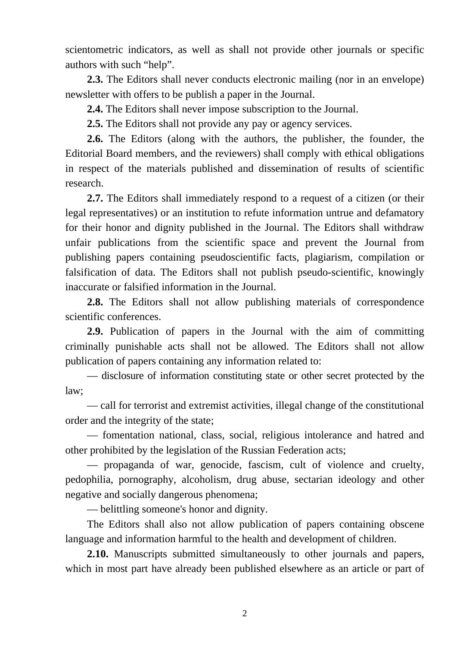scientometric indicators, as well as shall not provide other journals or specific authors with such "help".

**2.3.** The Editors shall never conducts electronic mailing (nor in an envelope) newsletter with offers to be publish a paper in the Journal.

**2.4.** The Editors shall never impose subscription to the Journal.

**2.5.** The Editors shall not provide any pay or agency services.

**2.6.** The Editors (along with the authors, the publisher, the founder, the Editorial Board members, and the reviewers) shall comply with ethical obligations in respect of the materials published and dissemination of results of scientific research.

**2.7.** The Editors shall immediately respond to a request of a citizen (or their legal representatives) or an institution to refute information untrue and defamatory for their honor and dignity published in the Journal. The Editors shall withdraw unfair publications from the scientific space and prevent the Journal from publishing papers containing pseudoscientific facts, plagiarism, compilation or falsification of data. The Editors shall not publish pseudo-scientific, knowingly inaccurate or falsified information in the Journal.

**2.8.** The Editors shall not allow publishing materials of correspondence scientific conferences.

**2.9.** Publication of papers in the Journal with the aim of committing criminally punishable acts shall not be allowed. The Editors shall not allow publication of papers containing any information related to:

— disclosure of information constituting state or other secret protected by the law;

— call for terrorist and extremist activities, illegal change of the constitutional order and the integrity of the state;

— fomentation national, class, social, religious intolerance and hatred and other prohibited by the legislation of the Russian Federation acts;

— propaganda of war, genocide, fascism, cult of violence and cruelty, pedophilia, pornography, alcoholism, drug abuse, sectarian ideology and other negative and socially dangerous phenomena;

— belittling someone's honor and dignity.

The Editors shall also not allow publication of papers containing obscene language and information harmful to the health and development of children.

**2.10.** Manuscripts submitted simultaneously to other journals and papers, which in most part have already been published elsewhere as an article or part of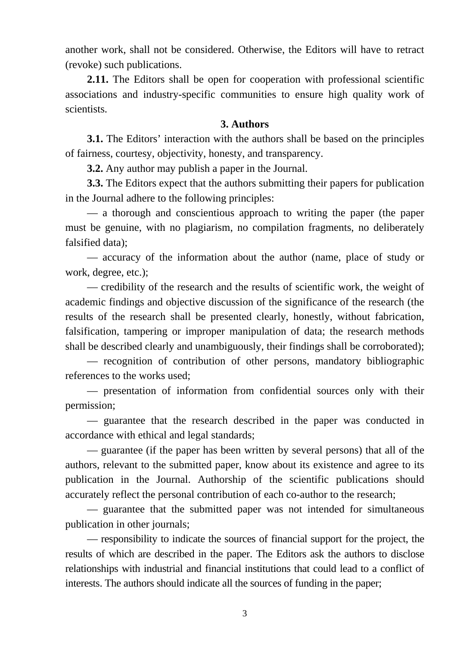another work, shall not be considered. Otherwise, the Editors will have to retract (revoke) such publications.

**2.11.** The Editors shall be open for cooperation with professional scientific associations and industry-specific communities to ensure high quality work of scientists.

## **3. Authors**

**3.1.** The Editors' interaction with the authors shall be based on the principles of fairness, courtesy, objectivity, honesty, and transparency.

**3.2.** Any author may publish a paper in the Journal.

**3.3.** The Editors expect that the authors submitting their papers for publication in the Journal adhere to the following principles:

— a thorough and conscientious approach to writing the paper (the paper must be genuine, with no plagiarism, no compilation fragments, no deliberately falsified data);

— accuracy of the information about the author (name, place of study or work, degree, etc.);

— credibility of the research and the results of scientific work, the weight of academic findings and objective discussion of the significance of the research (the results of the research shall be presented clearly, honestly, without fabrication, falsification, tampering or improper manipulation of data; the research methods shall be described clearly and unambiguously, their findings shall be corroborated);

— recognition of contribution of other persons, mandatory bibliographic references to the works used;

— presentation of information from confidential sources only with their permission;

— guarantee that the research described in the paper was conducted in accordance with ethical and legal standards;

— guarantee (if the paper has been written by several persons) that all of the authors, relevant to the submitted paper, know about its existence and agree to its publication in the Journal. Authorship of the scientific publications should accurately reflect the personal contribution of each co-author to the research;

— guarantee that the submitted paper was not intended for simultaneous publication in other journals;

— responsibility to indicate the sources of financial support for the project, the results of which are described in the paper. The Editors ask the authors to disclose relationships with industrial and financial institutions that could lead to a conflict of interests. The authors should indicate all the sources of funding in the paper;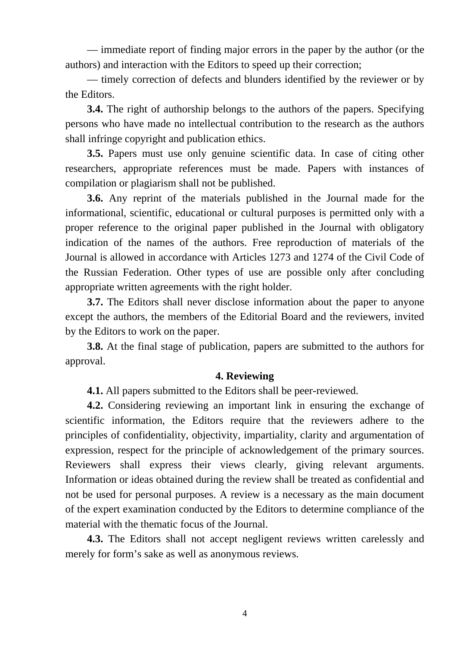— immediate report of finding major errors in the paper by the author (or the authors) and interaction with the Editors to speed up their correction;

— timely correction of defects and blunders identified by the reviewer or by the Editors.

**3.4.** The right of authorship belongs to the authors of the papers. Specifying persons who have made no intellectual contribution to the research as the authors shall infringe copyright and publication ethics.

**3.5.** Papers must use only genuine scientific data. In case of citing other researchers, appropriate references must be made. Papers with instances of compilation or plagiarism shall not be published.

**3.6.** Any reprint of the materials published in the Journal made for the informational, scientific, educational or cultural purposes is permitted only with a proper reference to the original paper published in the Journal with obligatory indication of the names of the authors. Free reproduction of materials of the Journal is allowed in accordance with Articles 1273 and 1274 of the Civil Code of the Russian Federation. Other types of use are possible only after concluding appropriate written agreements with the right holder.

**3.7.** The Editors shall never disclose information about the paper to anyone except the authors, the members of the Editorial Board and the reviewers, invited by the Editors to work on the paper.

**3.8.** At the final stage of publication, papers are submitted to the authors for approval.

## **4. Reviewing**

**4.1.** All papers submitted to the Editors shall be peer-reviewed.

**4.2.** Considering reviewing an important link in ensuring the exchange of scientific information, the Editors require that the reviewers adhere to the principles of confidentiality, objectivity, impartiality, clarity and argumentation of expression, respect for the principle of acknowledgement of the primary sources. Reviewers shall express their views clearly, giving relevant arguments. Information or ideas obtained during the review shall be treated as confidential and not be used for personal purposes. A review is a necessary as the main document of the expert examination conducted by the Editors to determine compliance of the material with the thematic focus of the Journal.

**4.3.** The Editors shall not accept negligent reviews written carelessly and merely for form's sake as well as anonymous reviews.